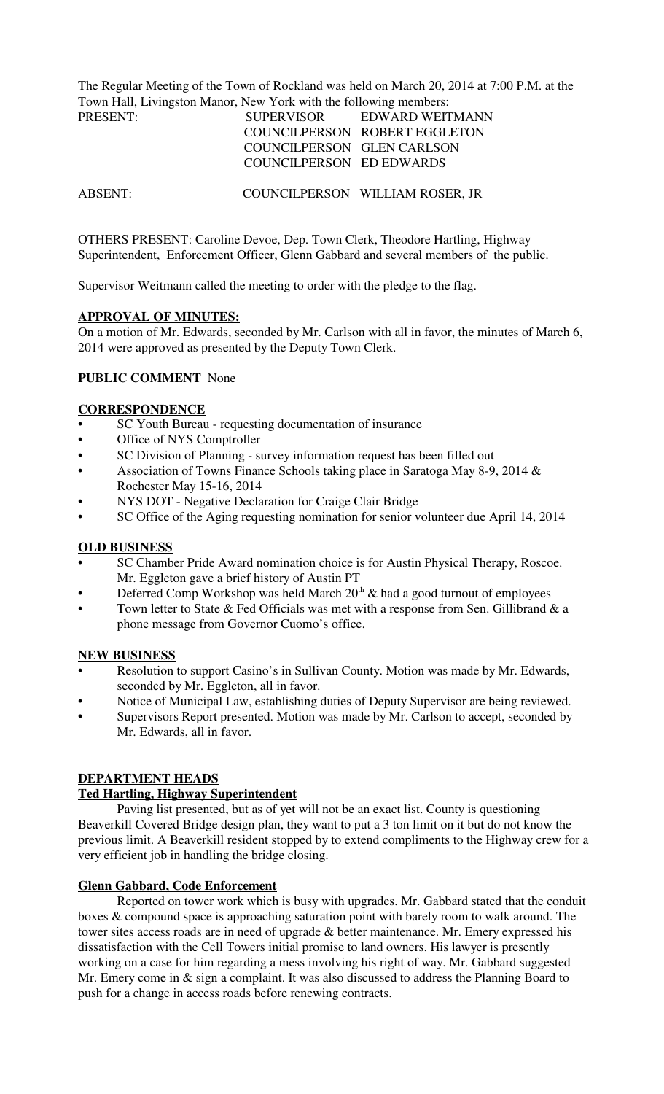The Regular Meeting of the Town of Rockland was held on March 20, 2014 at 7:00 P.M. at the Town Hall, Livingston Manor, New York with the following members:

| PRESENT: | <b>SUPERVISOR</b>          | EDWARD WEITMANN               |
|----------|----------------------------|-------------------------------|
|          |                            | COUNCILPERSON ROBERT EGGLETON |
|          | COUNCILPERSON GLEN CARLSON |                               |
|          | COUNCILPERSON ED EDWARDS   |                               |

ABSENT: COUNCILPERSON WILLIAM ROSER, JR

OTHERS PRESENT: Caroline Devoe, Dep. Town Clerk, Theodore Hartling, Highway Superintendent, Enforcement Officer, Glenn Gabbard and several members of the public.

Supervisor Weitmann called the meeting to order with the pledge to the flag.

### **APPROVAL OF MINUTES:**

On a motion of Mr. Edwards, seconded by Mr. Carlson with all in favor, the minutes of March 6, 2014 were approved as presented by the Deputy Town Clerk.

## **PUBLIC COMMENT** None

### **CORRESPONDENCE**

- SC Youth Bureau requesting documentation of insurance
- Office of NYS Comptroller
- SC Division of Planning survey information request has been filled out
- Association of Towns Finance Schools taking place in Saratoga May 8-9, 2014 & Rochester May 15-16, 2014
- NYS DOT Negative Declaration for Craige Clair Bridge
- SC Office of the Aging requesting nomination for senior volunteer due April 14, 2014

#### **OLD BUSINESS**

- SC Chamber Pride Award nomination choice is for Austin Physical Therapy, Roscoe. Mr. Eggleton gave a brief history of Austin PT
- Deferred Comp Workshop was held March  $20<sup>th</sup>$  & had a good turnout of employees
- Town letter to State  $\&$  Fed Officials was met with a response from Sen. Gillibrand  $\&$  a phone message from Governor Cuomo's office.

#### **NEW BUSINESS**

- Resolution to support Casino's in Sullivan County. Motion was made by Mr. Edwards, seconded by Mr. Eggleton, all in favor.
- Notice of Municipal Law, establishing duties of Deputy Supervisor are being reviewed.
- **•** Supervisors Report presented. Motion was made by Mr. Carlson to accept, seconded by Mr. Edwards, all in favor.

# **DEPARTMENT HEADS**

# **Ted Hartling, Highway Superintendent**

Paving list presented, but as of yet will not be an exact list. County is questioning Beaverkill Covered Bridge design plan, they want to put a 3 ton limit on it but do not know the previous limit. A Beaverkill resident stopped by to extend compliments to the Highway crew for a very efficient job in handling the bridge closing.

## **Glenn Gabbard, Code Enforcement**

Reported on tower work which is busy with upgrades. Mr. Gabbard stated that the conduit boxes & compound space is approaching saturation point with barely room to walk around. The tower sites access roads are in need of upgrade & better maintenance. Mr. Emery expressed his dissatisfaction with the Cell Towers initial promise to land owners. His lawyer is presently working on a case for him regarding a mess involving his right of way. Mr. Gabbard suggested Mr. Emery come in & sign a complaint. It was also discussed to address the Planning Board to push for a change in access roads before renewing contracts.